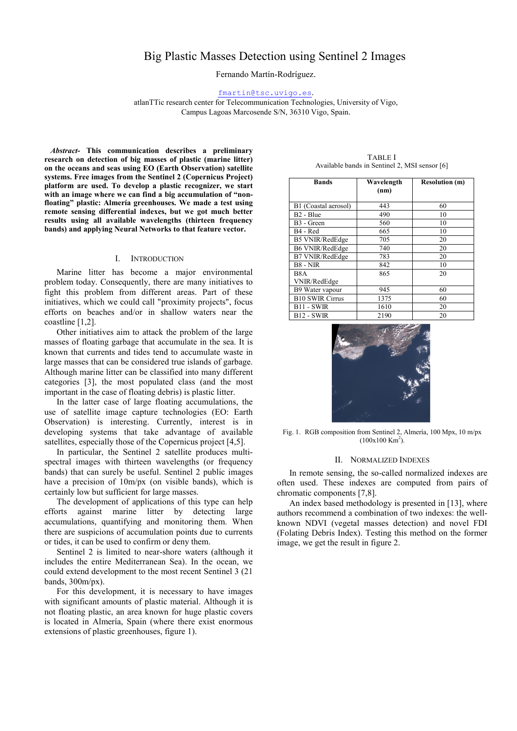# Big Plastic Masses Detection using Sentinel 2 Images

Fernando Martín-Rodríguez.

#### fmartin@tsc.uvigo.es.

atlanTTic research center for Telecommunication Technologies, University of Vigo, Campus Lagoas Marcosende S/N, 36310 Vigo, Spain.

*Abstract*- This communication describes a preliminary research on detection of big masses of plastic (marine litter) on the oceans and seas using EO (Earth Observation) satellite systems. Free images from the Sentinel 2 (Copernicus Project) platform are used. To develop a plastic recognizer, we start with an image where we can find a big accumulation of "nonfloating" plastic: Almería greenhouses. We made a test using remote sensing differential indexes, but we got much better results using all available wavelengths (thirteen frequency bands) and applying Neural Networks to that feature vector.

### I. INTRODUCTION

Marine litter has become a major environmental problem today. Consequently, there are many initiatives to fight this problem from different areas. Part of these initiatives, which we could call "proximity projects", focus efforts on beaches and/or in shallow waters near the coastline [1,2].

Other initiatives aim to attack the problem of the large masses of floating garbage that accumulate in the sea. It is known that currents and tides tend to accumulate waste in large masses that can be considered true islands of garbage. Although marine litter can be classified into many different categories [3], the most populated class (and the most important in the case of floating debris) is plastic litter.

In the latter case of large floating accumulations, the use of satellite image capture technologies (EO: Earth Observation) is interesting. Currently, interest is in developing systems that take advantage of available satellites, especially those of the Copernicus project [4,5].

In particular, the Sentinel 2 satellite produces multispectral images with thirteen wavelengths (or frequency bands) that can surely be useful. Sentinel 2 public images have a precision of  $10m/px$  (on visible bands), which is certainly low but sufficient for large masses.

The development of applications of this type can help efforts against marine litter by detecting large accumulations, quantifying and monitoring them. When there are suspicions of accumulation points due to currents or tides, it can be used to confirm or deny them.

Sentinel 2 is limited to near-shore waters (although it includes the entire Mediterranean Sea). In the ocean, we could extend development to the most recent Sentinel 3 (21 bands, 300m/px).

For this development, it is necessary to have images with significant amounts of plastic material. Although it is not floating plastic, an area known for huge plastic covers is located in Almería, Spain (where there exist enormous extensions of plastic greenhouses, figure 1).

TABLE I Available bands in Sentinel 2, MSI sensor [6]

| <b>Bands</b>           | Wavelength<br>(nm) | <b>Resolution (m)</b> |
|------------------------|--------------------|-----------------------|
| B1 (Coastal aerosol)   | 443                | 60                    |
| B <sub>2</sub> - Blue  | 490                | 10                    |
| B <sub>3</sub> - Green | 560                | 10                    |
| B <sub>4</sub> - Red   | 665                | 10                    |
| <b>B5 VNIR/RedEdge</b> | 705                | 20                    |
| B6 VNIR/RedEdge        | 740                | 20                    |
| B7 VNIR/RedEdge        | 783                | 20                    |
| $B8 - NIR$             | 842                | 10                    |
| B <sub>8</sub> A       | 865                | 20                    |
| VNIR/RedEdge           |                    |                       |
| B9 Water vapour        | 945                | 60                    |
| <b>B10 SWIR Cirrus</b> | 1375               | 60                    |
| <b>B11 - SWIR</b>      | 1610               | 20                    |
| <b>B12 - SWIR</b>      | 2190               | 20                    |



Fig. 1. RGB composition from Sentinel 2, Almería, 100 Mpx, 10 m/px  $(100x100$  Km<sup>2</sup>).

#### II. NORMALIZED INDEXES

In remote sensing, the so-called normalized indexes are often used. These indexes are computed from pairs of chromatic components [7,8].

An index based methodology is presented in [13], where authors recommend a combination of two indexes: the wellknown NDVI (vegetal masses detection) and novel FDI (Folating Debris Index). Testing this method on the former image, we get the result in figure 2.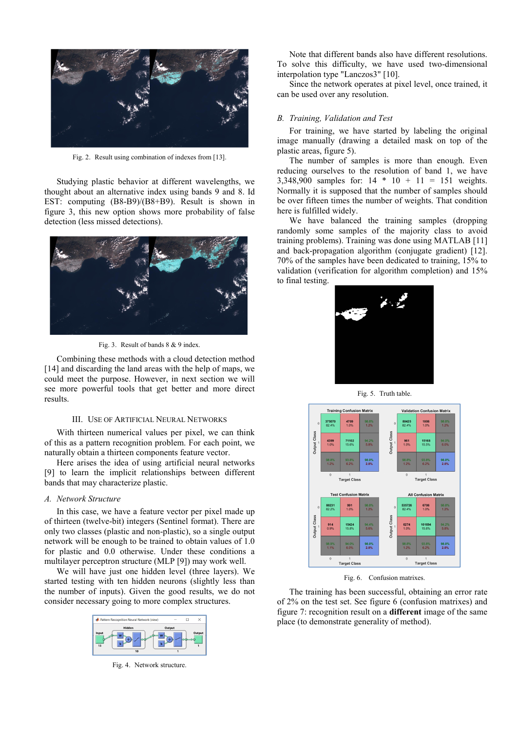

Fig. 2. Result using combination of indexes from [13].

Studying plastic behavior at different wavelengths, we thought about an alternative index using bands 9 and 8. Id EST: computing (B8-B9)/(B8+B9). Result is shown in figure 3, this new option shows more probability of false detection (less missed detections).



Fig. 3. Result of bands 8 & 9 index.

Combining these methods with a cloud detection method [14] and discarding the land areas with the help of maps, we could meet the purpose. However, in next section we will see more powerful tools that get better and more direct results.

#### III. USE OF ARTIFICIAL NEURAL NETWORKS

With thirteen numerical values per pixel, we can think of this as a pattern recognition problem. For each point, we naturally obtain a thirteen components feature vector.

Here arises the idea of using artificial neural networks [9] to learn the implicit relationships between different bands that may characterize plastic.

#### *A. Network Structure*

In this case, we have a feature vector per pixel made up of thirteen (twelve-bit) integers (Sentinel format). There are only two classes (plastic and non-plastic), so a single output network will be enough to be trained to obtain values of 1.0 for plastic and 0.0 otherwise. Under these conditions a multilayer perceptron structure (MLP [9]) may work well.

We will have just one hidden level (three layers). We started testing with ten hidden neurons (slightly less than the number of inputs). Given the good results, we do not consider necessary going to more complex structures.



Fig. 4. Network structure.

Note that different bands also have different resolutions. To solve this difficulty, we have used two-dimensional interpolation type "Lanczos3" [10].

Since the network operates at pixel level, once trained, it can be used over any resolution.

## *B. Training, Validation and Test*

For training, we have started by labeling the original image manually (drawing a detailed mask on top of the plastic areas, figure 5).

The number of samples is more than enough. Even reducing ourselves to the resolution of band 1, we have 3,348,900 samples for: 14 \* 10 + 11 = 151 weights. Normally it is supposed that the number of samples should be over fifteen times the number of weights. That condition here is fulfilled widely.

We have balanced the training samples (dropping randomly some samples of the majority class to avoid training problems). Training was done using MATLAB [11] and back-propagation algorithm (conjugate gradient) [12]. 70% of the samples have been dedicated to training, 15% to validation (verification for algorithm completion) and 15% to final testing.



Fig. 5. Truth table.



Fig. 6. Confusion matrixes.

The training has been successful, obtaining an error rate of 2% on the test set. See figure 6 (confusion matrixes) and figure 7: recognition result on a different image of the same place (to demonstrate generality of method).